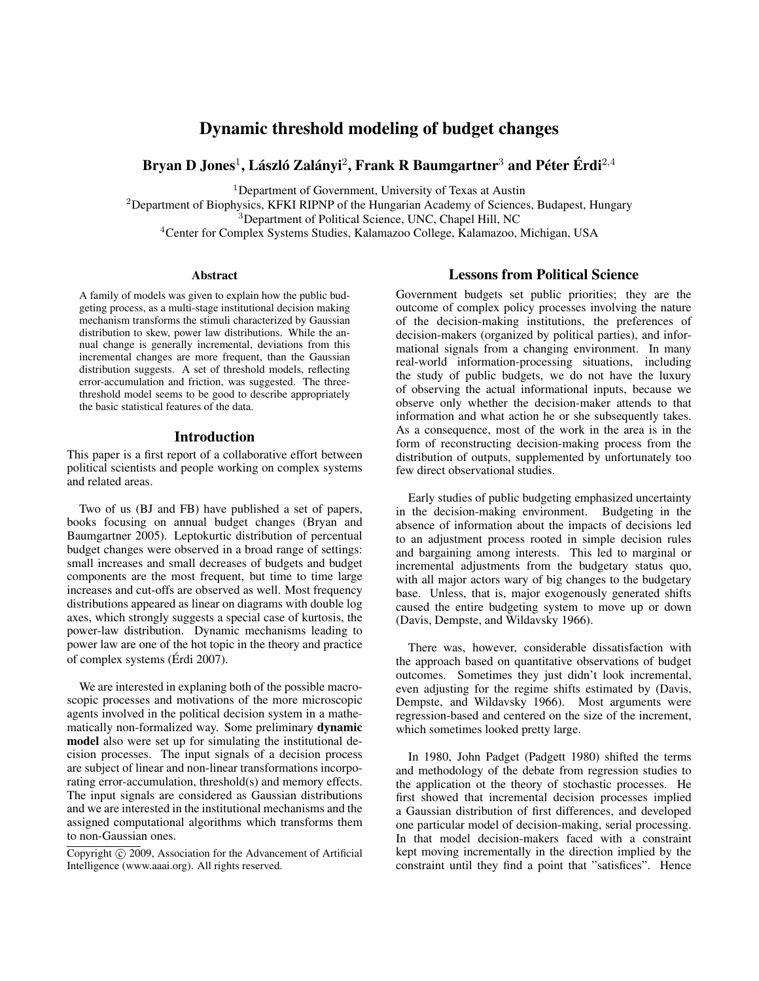# Dynamic threshold modeling of budget changes

# Bryan D Jones $^1$ , László Zalányi $^2$ , Frank R Baumgartner $^3$  and Péter Érdi $^{2,4}$

<sup>1</sup>Department of Government, University of Texas at Austin

<sup>2</sup>Department of Biophysics, KFKI RIPNP of the Hungarian Academy of Sciences, Budapest, Hungary

<sup>3</sup>Department of Political Science, UNC, Chapel Hill, NC

<sup>4</sup>Center for Complex Systems Studies, Kalamazoo College, Kalamazoo, Michigan, USA

### Abstract

A family of models was given to explain how the public budgeting process, as a multi-stage institutional decision making mechanism transforms the stimuli characterized by Gaussian distribution to skew, power law distributions. While the annual change is generally incremental, deviations from this incremental changes are more frequent, than the Gaussian distribution suggests. A set of threshold models, reflecting error-accumulation and friction, was suggested. The threethreshold model seems to be good to describe appropriately the basic statistical features of the data.

### Introduction

This paper is a first report of a collaborative effort between political scientists and people working on complex systems and related areas.

Two of us (BJ and FB) have published a set of papers, books focusing on annual budget changes (Bryan and Baumgartner 2005). Leptokurtic distribution of percentual budget changes were observed in a broad range of settings: small increases and small decreases of budgets and budget components are the most frequent, but time to time large increases and cut-offs are observed as well. Most frequency distributions appeared as linear on diagrams with double log axes, which strongly suggests a special case of kurtosis, the power-law distribution. Dynamic mechanisms leading to power law are one of the hot topic in the theory and practice of complex systems (Érdi 2007).

We are interested in explaning both of the possible macroscopic processes and motivations of the more microscopic agents involved in the political decision system in a mathematically non-formalized way. Some preliminary dynamic model also were set up for simulating the institutional decision processes. The input signals of a decision process are subject of linear and non-linear transformations incorporating error-accumulation, threshold(s) and memory effects. The input signals are considered as Gaussian distributions and we are interested in the institutional mechanisms and the assigned computational algorithms which transforms them to non-Gaussian ones.

### Lessons from Political Science

Government budgets set public priorities; they are the outcome of complex policy processes involving the nature of the decision-making institutions, the preferences of decision-makers (organized by political parties), and informational signals from a changing environment. In many real-world information-processing situations, including the study of public budgets, we do not have the luxury of observing the actual informational inputs, because we observe only whether the decision-maker attends to that information and what action he or she subsequently takes. As a consequence, most of the work in the area is in the form of reconstructing decision-making process from the distribution of outputs, supplemented by unfortunately too few direct observational studies.

Early studies of public budgeting emphasized uncertainty in the decision-making environment. Budgeting in the absence of information about the impacts of decisions led to an adjustment process rooted in simple decision rules and bargaining among interests. This led to marginal or incremental adjustments from the budgetary status quo, with all major actors wary of big changes to the budgetary base. Unless, that is, major exogenously generated shifts caused the entire budgeting system to move up or down (Davis, Dempste, and Wildavsky 1966).

There was, however, considerable dissatisfaction with the approach based on quantitative observations of budget outcomes. Sometimes they just didn't look incremental, even adjusting for the regime shifts estimated by (Davis, Dempste, and Wildavsky 1966). Most arguments were regression-based and centered on the size of the increment, which sometimes looked pretty large.

In 1980, John Padget (Padgett 1980) shifted the terms and methodology of the debate from regression studies to the application ot the theory of stochastic processes. He first showed that incremental decision processes implied a Gaussian distribution of first differences, and developed one particular model of decision-making, serial processing. In that model decision-makers faced with a constraint kept moving incrementally in the direction implied by the constraint until they find a point that "satisfices". Hence

Copyright (c) 2009, Association for the Advancement of Artificial Intelligence (www.aaai.org). All rights reserved.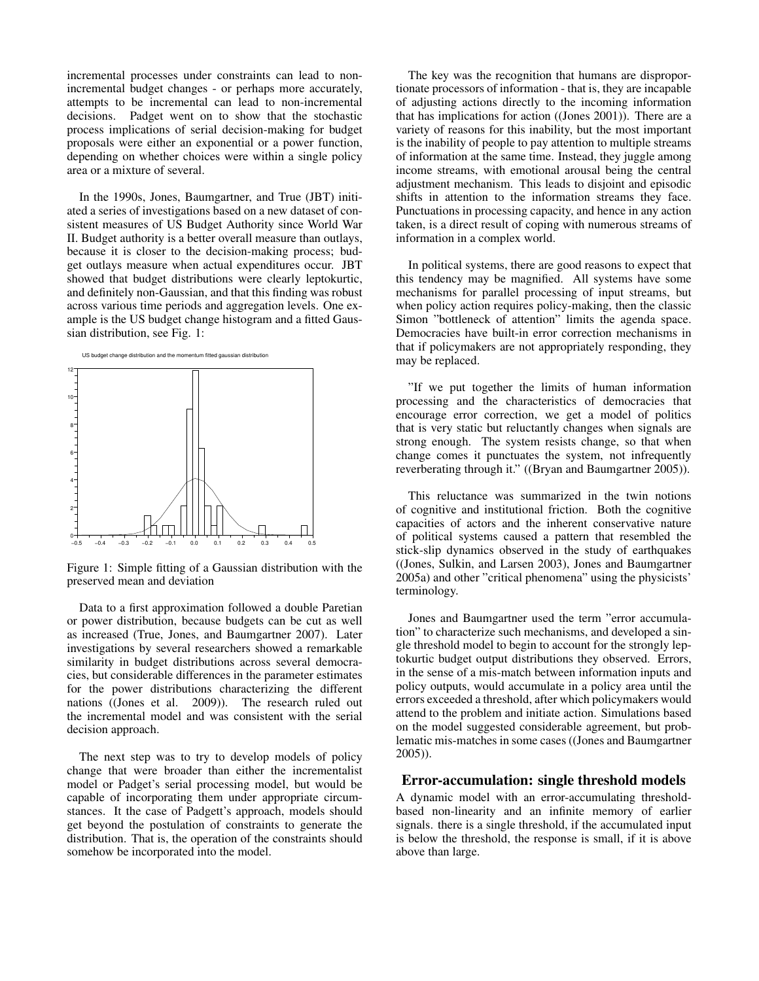incremental processes under constraints can lead to nonincremental budget changes - or perhaps more accurately, attempts to be incremental can lead to non-incremental decisions. Padget went on to show that the stochastic process implications of serial decision-making for budget proposals were either an exponential or a power function, depending on whether choices were within a single policy area or a mixture of several.

In the 1990s, Jones, Baumgartner, and True (JBT) initiated a series of investigations based on a new dataset of consistent measures of US Budget Authority since World War II. Budget authority is a better overall measure than outlays, because it is closer to the decision-making process; budget outlays measure when actual expenditures occur. JBT showed that budget distributions were clearly leptokurtic, and definitely non-Gaussian, and that this finding was robust across various time periods and aggregation levels. One example is the US budget change histogram and a fitted Gaussian distribution, see Fig. 1:



Figure 1: Simple fitting of a Gaussian distribution with the preserved mean and deviation

Data to a first approximation followed a double Paretian or power distribution, because budgets can be cut as well as increased (True, Jones, and Baumgartner 2007). Later investigations by several researchers showed a remarkable similarity in budget distributions across several democracies, but considerable differences in the parameter estimates for the power distributions characterizing the different nations ((Jones et al. 2009)). The research ruled out the incremental model and was consistent with the serial decision approach.

The next step was to try to develop models of policy change that were broader than either the incrementalist model or Padget's serial processing model, but would be capable of incorporating them under appropriate circumstances. It the case of Padgett's approach, models should get beyond the postulation of constraints to generate the distribution. That is, the operation of the constraints should somehow be incorporated into the model.

The key was the recognition that humans are disproportionate processors of information - that is, they are incapable of adjusting actions directly to the incoming information that has implications for action ((Jones 2001)). There are a variety of reasons for this inability, but the most important is the inability of people to pay attention to multiple streams of information at the same time. Instead, they juggle among income streams, with emotional arousal being the central adjustment mechanism. This leads to disjoint and episodic shifts in attention to the information streams they face. Punctuations in processing capacity, and hence in any action taken, is a direct result of coping with numerous streams of information in a complex world.

In political systems, there are good reasons to expect that this tendency may be magnified. All systems have some mechanisms for parallel processing of input streams, but when policy action requires policy-making, then the classic Simon "bottleneck of attention" limits the agenda space. Democracies have built-in error correction mechanisms in that if policymakers are not appropriately responding, they may be replaced.

"If we put together the limits of human information processing and the characteristics of democracies that encourage error correction, we get a model of politics that is very static but reluctantly changes when signals are strong enough. The system resists change, so that when change comes it punctuates the system, not infrequently reverberating through it." ((Bryan and Baumgartner 2005)).

This reluctance was summarized in the twin notions of cognitive and institutional friction. Both the cognitive capacities of actors and the inherent conservative nature of political systems caused a pattern that resembled the stick-slip dynamics observed in the study of earthquakes ((Jones, Sulkin, and Larsen 2003), Jones and Baumgartner 2005a) and other "critical phenomena" using the physicists' terminology.

Jones and Baumgartner used the term "error accumulation" to characterize such mechanisms, and developed a single threshold model to begin to account for the strongly leptokurtic budget output distributions they observed. Errors, in the sense of a mis-match between information inputs and policy outputs, would accumulate in a policy area until the errors exceeded a threshold, after which policymakers would attend to the problem and initiate action. Simulations based on the model suggested considerable agreement, but problematic mis-matches in some cases ((Jones and Baumgartner 2005)).

### Error-accumulation: single threshold models

A dynamic model with an error-accumulating thresholdbased non-linearity and an infinite memory of earlier signals. there is a single threshold, if the accumulated input is below the threshold, the response is small, if it is above above than large.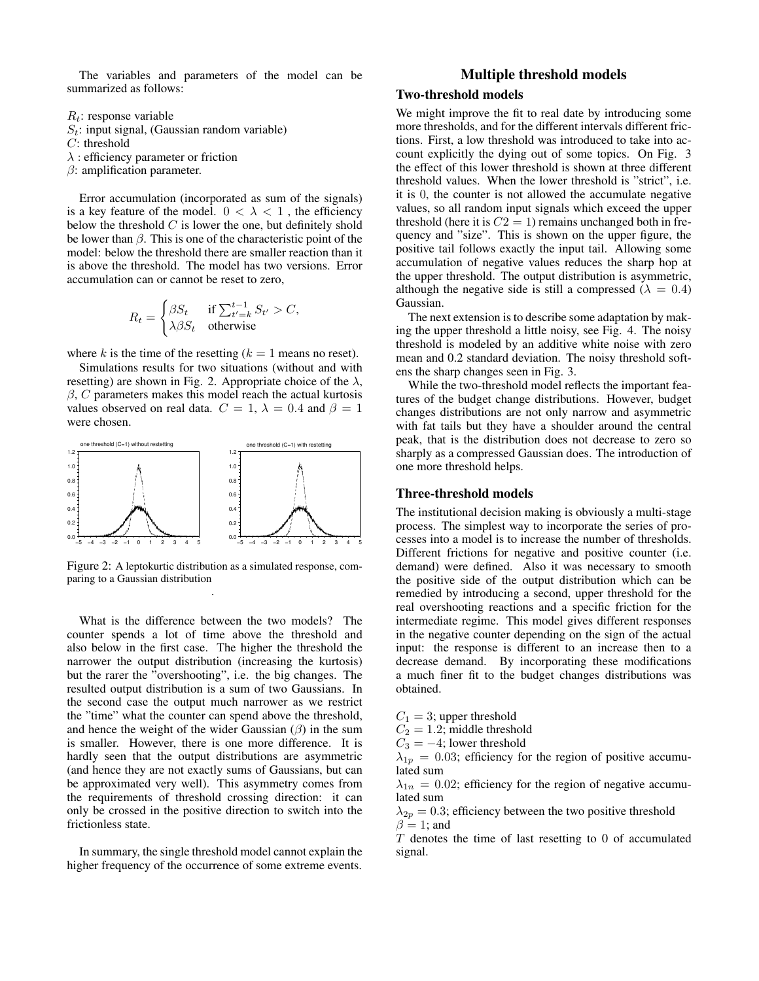The variables and parameters of the model can be summarized as follows:

 $R_t$ : response variable

- $S_t$ : input signal, (Gaussian random variable)
- C: threshold
- $\lambda$  : efficiency parameter or friction
- $\beta$ : amplification parameter.

Error accumulation (incorporated as sum of the signals) is a key feature of the model.  $0 < \lambda < 1$ , the efficiency below the threshold  $C$  is lower the one, but definitely shold be lower than  $\beta$ . This is one of the characteristic point of the model: below the threshold there are smaller reaction than it is above the threshold. The model has two versions. Error accumulation can or cannot be reset to zero,

$$
R_t = \begin{cases} \beta S_t & \text{if } \sum_{t'=k}^{t-1} S_{t'} > C, \\ \lambda \beta S_t & \text{otherwise} \end{cases}
$$

where k is the time of the resetting  $(k = 1$  means no reset).

Simulations results for two situations (without and with resetting) are shown in Fig. 2. Appropriate choice of the  $\lambda$ ,  $\beta$ , C parameters makes this model reach the actual kurtosis values observed on real data.  $C = 1$ ,  $\lambda = 0.4$  and  $\beta = 1$ were chosen.



Figure 2: A leptokurtic distribution as a simulated response, comparing to a Gaussian distribution .

What is the difference between the two models? The counter spends a lot of time above the threshold and also below in the first case. The higher the threshold the narrower the output distribution (increasing the kurtosis) but the rarer the "overshooting", i.e. the big changes. The resulted output distribution is a sum of two Gaussians. In the second case the output much narrower as we restrict the "time" what the counter can spend above the threshold, and hence the weight of the wider Gaussian  $(\beta)$  in the sum is smaller. However, there is one more difference. It is hardly seen that the output distributions are asymmetric (and hence they are not exactly sums of Gaussians, but can be approximated very well). This asymmetry comes from the requirements of threshold crossing direction: it can only be crossed in the positive direction to switch into the frictionless state.

In summary, the single threshold model cannot explain the higher frequency of the occurrence of some extreme events.

## Multiple threshold models

## Two-threshold models

We might improve the fit to real date by introducing some more thresholds, and for the different intervals different frictions. First, a low threshold was introduced to take into account explicitly the dying out of some topics. On Fig. 3 the effect of this lower threshold is shown at three different threshold values. When the lower threshold is "strict", i.e. it is 0, the counter is not allowed the accumulate negative values, so all random input signals which exceed the upper threshold (here it is  $C2 = 1$ ) remains unchanged both in frequency and "size". This is shown on the upper figure, the positive tail follows exactly the input tail. Allowing some accumulation of negative values reduces the sharp hop at the upper threshold. The output distribution is asymmetric, although the negative side is still a compressed ( $\lambda = 0.4$ ) Gaussian.

The next extension is to describe some adaptation by making the upper threshold a little noisy, see Fig. 4. The noisy threshold is modeled by an additive white noise with zero mean and 0.2 standard deviation. The noisy threshold softens the sharp changes seen in Fig. 3.

While the two-threshold model reflects the important features of the budget change distributions. However, budget changes distributions are not only narrow and asymmetric with fat tails but they have a shoulder around the central peak, that is the distribution does not decrease to zero so sharply as a compressed Gaussian does. The introduction of one more threshold helps.

#### Three-threshold models

The institutional decision making is obviously a multi-stage process. The simplest way to incorporate the series of processes into a model is to increase the number of thresholds. Different frictions for negative and positive counter (i.e. demand) were defined. Also it was necessary to smooth the positive side of the output distribution which can be remedied by introducing a second, upper threshold for the real overshooting reactions and a specific friction for the intermediate regime. This model gives different responses in the negative counter depending on the sign of the actual input: the response is different to an increase then to a decrease demand. By incorporating these modifications a much finer fit to the budget changes distributions was obtained.

 $C_1 = 3$ ; upper threshold

 $C_2 = 1.2$ ; middle threshold

 $C_3 = -4$ ; lower threshold

 $\lambda_{1p} = 0.03$ ; efficiency for the region of positive accumulated sum

 $\lambda_{1n} = 0.02$ ; efficiency for the region of negative accumulated sum

 $\lambda_{2p} = 0.3$ ; efficiency between the two positive threshold  $\beta = 1$ ; and

T denotes the time of last resetting to 0 of accumulated signal.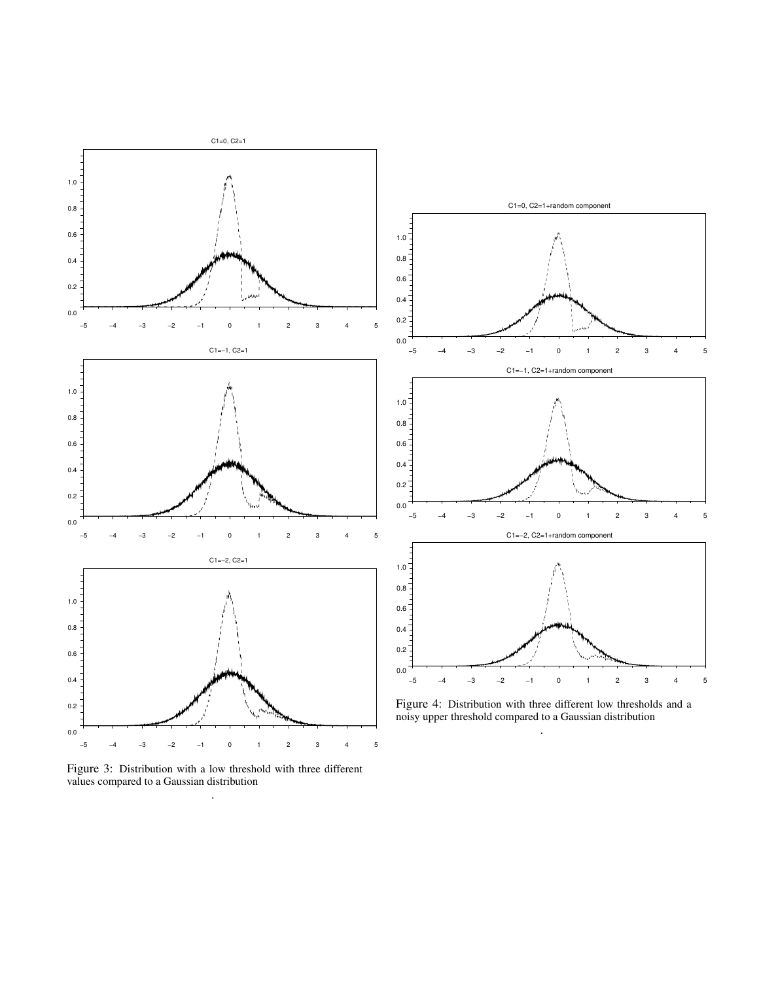

Figure 3: Distribution with a low threshold with three different values compared to a Gaussian distribution .



Figure 4: Distribution with three different low thresholds and a noisy upper threshold compared to a Gaussian distribution .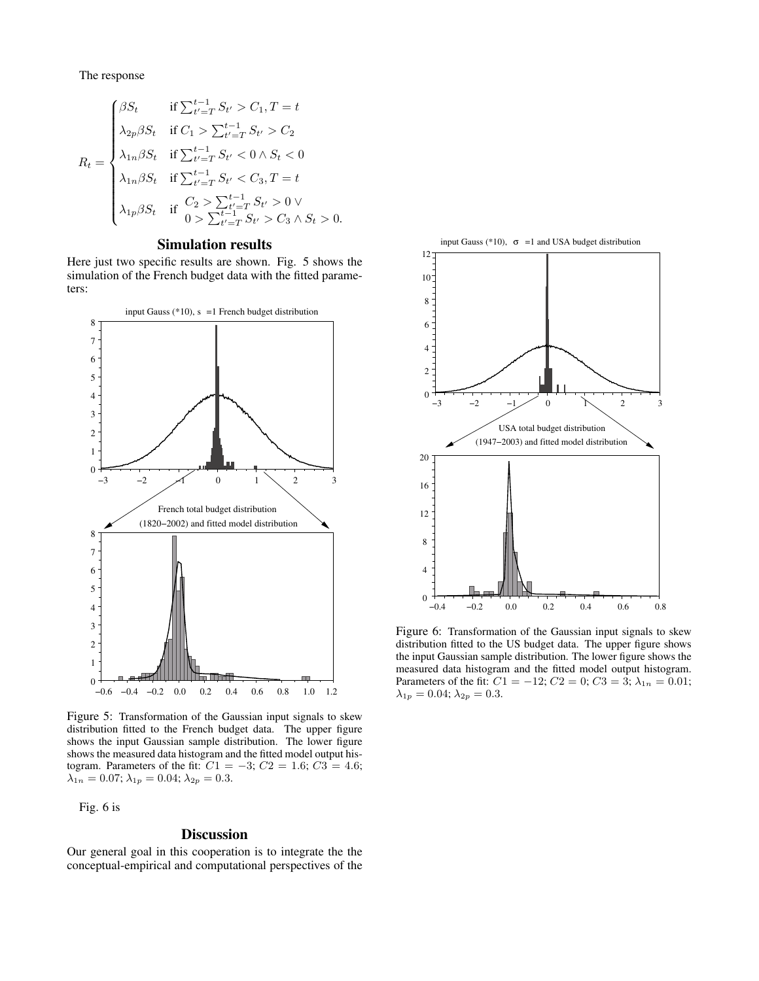The response

$$
R_{t} = \begin{cases} \beta S_{t} & \text{if } \sum_{t'=T}^{t-1} S_{t'} > C_{1}, T = t \\ \lambda_{2p} \beta S_{t} & \text{if } C_{1} > \sum_{t'=T}^{t-1} S_{t'} > C_{2} \\ \lambda_{1n} \beta S_{t} & \text{if } \sum_{t'=T}^{t-1} S_{t'} < 0 \land S_{t} < 0 \\ \lambda_{1n} \beta S_{t} & \text{if } \sum_{t'=T}^{t-1} S_{t'} < C_{3}, T = t \\ \lambda_{1p} \beta S_{t} & \text{if } C_{2} > \sum_{t'=T}^{t-1} S_{t'} > 0 \lor \\ 0 > \sum_{t'=T}^{t-1} S_{t'} > C_{3} \land S_{t} > 0. \end{cases}
$$

## Simulation results

Here just two specific results are shown. Fig. 5 shows the simulation of the French budget data with the fitted parameters:



Figure 5: Transformation of the Gaussian input signals to skew distribution fitted to the French budget data. The upper figure shows the input Gaussian sample distribution. The lower figure shows the measured data histogram and the fitted model output histogram. Parameters of the fit:  $C1 = -3$ ;  $C2 = 1.6$ ;  $C3 = 4.6$ ;  $\lambda_{1n} = 0.07; \lambda_{1p} = 0.04; \lambda_{2p} = 0.3.$ 

Fig. 6 is

#### **Discussion**

Our general goal in this cooperation is to integrate the the conceptual-empirical and computational perspectives of the



Figure 6: Transformation of the Gaussian input signals to skew distribution fitted to the US budget data. The upper figure shows the input Gaussian sample distribution. The lower figure shows the measured data histogram and the fitted model output histogram. Parameters of the fit:  $C1 = -12$ ;  $C2 = 0$ ;  $C3 = 3$ ;  $\lambda_{1n} = 0.01$ ;  $\lambda_{1p}=0.04;$   $\lambda_{2p}=0.3.$